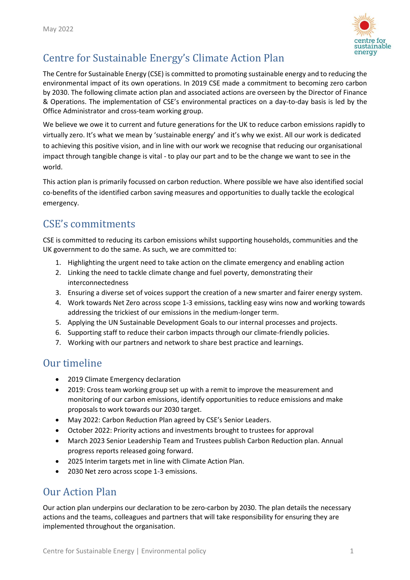

# Centre for Sustainable Energy's Climate Action Plan

The Centre for Sustainable Energy (CSE) is committed to promoting sustainable energy and to reducing the environmental impact of its own operations. In 2019 CSE made a commitment to becoming zero carbon by 2030. The following climate action plan and associated actions are overseen by the Director of Finance & Operations. The implementation of CSE's environmental practices on a day-to-day basis is led by the Office Administrator and cross-team working group.

We believe we owe it to current and future generations for the UK to reduce carbon emissions rapidly to virtually zero. It's what we mean by 'sustainable energy' and it's why we exist. All our work is dedicated to achieving this positive vision, and in line with our work we recognise that reducing our organisational impact through tangible change is vital - to play our part and to be the change we want to see in the world.

This action plan is primarily focussed on carbon reduction. Where possible we have also identified social co-benefits of the identified carbon saving measures and opportunities to dually tackle the ecological emergency.

# CSE's commitments

CSE is committed to reducing its carbon emissions whilst supporting households, communities and the UK government to do the same. As such, we are committed to:

- 1. Highlighting the urgent need to take action on the climate emergency and enabling action
- 2. Linking the need to tackle climate change and fuel poverty, demonstrating their interconnectedness
- 3. Ensuring a diverse set of voices support the creation of a new smarter and fairer energy system.
- 4. Work towards Net Zero across scope 1-3 emissions, tackling easy wins now and working towards addressing the trickiest of our emissions in the medium-longer term.
- 5. Applying the UN Sustainable Development Goals to our internal processes and projects.
- 6. Supporting staff to reduce their carbon impacts through our climate-friendly policies.
- 7. Working with our partners and network to share best practice and learnings.

# Our timeline

- 2019 Climate Emergency declaration
- 2019: Cross team working group set up with a remit to improve the measurement and monitoring of our carbon emissions, identify opportunities to reduce emissions and make proposals to work towards our 2030 target.
- May 2022: Carbon Reduction Plan agreed by CSE's Senior Leaders.
- October 2022: Priority actions and investments brought to trustees for approval
- March 2023 Senior Leadership Team and Trustees publish Carbon Reduction plan. Annual progress reports released going forward.
- 2025 Interim targets met in line with Climate Action Plan.
- 2030 Net zero across scope 1-3 emissions.

# Our Action Plan

Our action plan underpins our declaration to be zero-carbon by 2030. The plan details the necessary actions and the teams, colleagues and partners that will take responsibility for ensuring they are implemented throughout the organisation.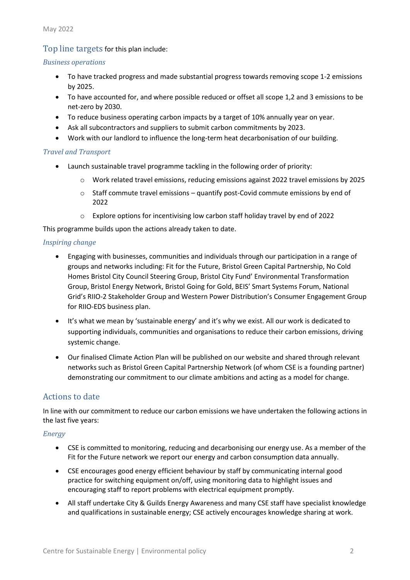## Top line targets for this plan include:

#### *Business operations*

- To have tracked progress and made substantial progress towards removing scope 1-2 emissions by 2025.
- To have accounted for, and where possible reduced or offset all scope 1,2 and 3 emissions to be net-zero by 2030.
- To reduce business operating carbon impacts by a target of 10% annually year on year.
- Ask all subcontractors and suppliers to submit carbon commitments by 2023.
- Work with our landlord to influence the long-term heat decarbonisation of our building.

#### *Travel and Transport*

- Launch sustainable travel programme tackling in the following order of priority:
	- o Work related travel emissions, reducing emissions against 2022 travel emissions by 2025
	- $\circ$  Staff commute travel emissions quantify post-Covid commute emissions by end of 2022
	- o Explore options for incentivising low carbon staff holiday travel by end of 2022

This programme builds upon the actions already taken to date.

#### *Inspiring change*

- Engaging with businesses, communities and individuals through our participation in a range of groups and networks including: Fit for the Future, Bristol Green Capital Partnership, No Cold Homes Bristol City Council Steering Group, Bristol City Fund' Environmental Transformation Group, Bristol Energy Network, Bristol Going for Gold, BEIS' Smart Systems Forum, National Grid's RIIO-2 Stakeholder Group and Western Power Distribution's Consumer Engagement Group for RIIO-EDS business plan.
- It's what we mean by 'sustainable energy' and it's why we exist. All our work is dedicated to supporting individuals, communities and organisations to reduce their carbon emissions, driving systemic change.
- Our finalised Climate Action Plan will be published on our website and shared through relevant networks such as Bristol Green Capital Partnership Network (of whom CSE is a founding partner) demonstrating our commitment to our climate ambitions and acting as a model for change.

## Actions to date

In line with our commitment to reduce our carbon emissions we have undertaken the following actions in the last five years:

### *Energy*

- CSE is committed to monitoring, reducing and decarbonising our energy use. As a member of the Fit for the Future network we report our energy and carbon consumption data annually.
- CSE encourages good energy efficient behaviour by staff by communicating internal good practice for switching equipment on/off, using monitoring data to highlight issues and encouraging staff to report problems with electrical equipment promptly.
- All staff undertake City & Guilds Energy Awareness and many CSE staff have specialist knowledge and qualifications in sustainable energy; CSE actively encourages knowledge sharing at work.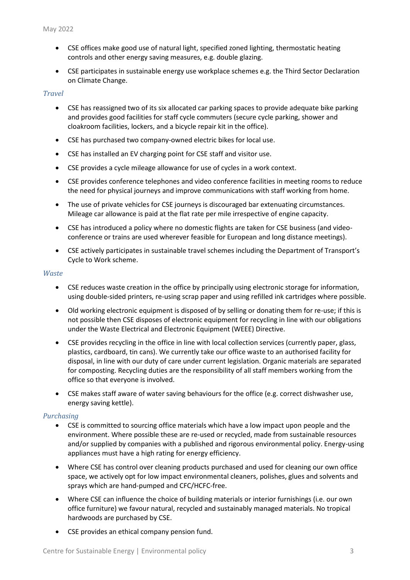- CSE offices make good use of natural light, specified zoned lighting, thermostatic heating controls and other energy saving measures, e.g. double glazing.
- CSE participates in sustainable energy use workplace schemes e.g. the Third Sector Declaration on Climate Change.

#### *Travel*

- CSE has reassigned two of its six allocated car parking spaces to provide adequate bike parking and provides good facilities for staff cycle commuters (secure cycle parking, shower and cloakroom facilities, lockers, and a bicycle repair kit in the office).
- CSE has purchased two company-owned electric bikes for local use.
- CSE has installed an EV charging point for CSE staff and visitor use.
- CSE provides a cycle mileage allowance for use of cycles in a work context.
- CSE provides conference telephones and video conference facilities in meeting rooms to reduce the need for physical journeys and improve communications with staff working from home.
- The use of private vehicles for CSE journeys is discouraged bar extenuating circumstances. Mileage car allowance is paid at the flat rate per mile irrespective of engine capacity.
- CSE has introduced a policy where no domestic flights are taken for CSE business (and videoconference or trains are used wherever feasible for European and long distance meetings).
- CSE actively participates in sustainable travel schemes including the Department of Transport's Cycle to Work scheme.

#### *Waste*

- CSE reduces waste creation in the office by principally using electronic storage for information, using double-sided printers, re-using scrap paper and using refilled ink cartridges where possible.
- Old working electronic equipment is disposed of by selling or donating them for re-use; if this is not possible then CSE disposes of electronic equipment for recycling in line with our obligations under the Waste Electrical and Electronic Equipment (WEEE) Directive.
- CSE provides recycling in the office in line with local collection services (currently paper, glass, plastics, cardboard, tin cans). We currently take our office waste to an authorised facility for disposal, in line with our duty of care under current legislation. Organic materials are separated for composting. Recycling duties are the responsibility of all staff members working from the office so that everyone is involved.
- CSE makes staff aware of water saving behaviours for the office (e.g. correct dishwasher use, energy saving kettle).

#### *Purchasing*

- CSE is committed to sourcing office materials which have a low impact upon people and the environment. Where possible these are re-used or recycled, made from sustainable resources and/or supplied by companies with a published and rigorous environmental policy. Energy-using appliances must have a high rating for energy efficiency.
- Where CSE has control over cleaning products purchased and used for cleaning our own office space, we actively opt for low impact environmental cleaners, polishes, glues and solvents and sprays which are hand-pumped and CFC/HCFC-free.
- Where CSE can influence the choice of building materials or interior furnishings (i.e. our own office furniture) we favour natural, recycled and sustainably managed materials. No tropical hardwoods are purchased by CSE.
- CSE provides an ethical company pension fund.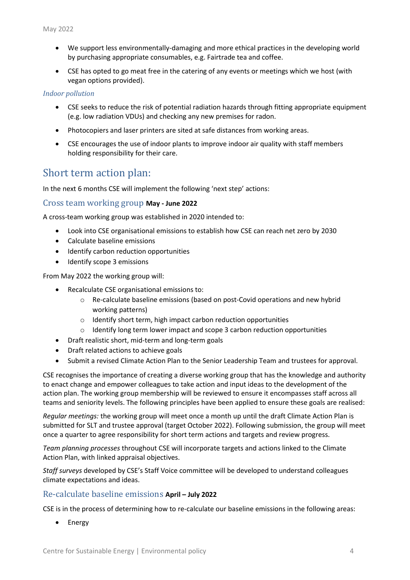- We support less environmentally-damaging and more ethical practices in the developing world by purchasing appropriate consumables, e.g. Fairtrade tea and coffee.
- CSE has opted to go meat free in the catering of any events or meetings which we host (with vegan options provided).

#### *Indoor pollution*

- CSE seeks to reduce the risk of potential radiation hazards through fitting appropriate equipment (e.g. low radiation VDUs) and checking any new premises for radon.
- Photocopiers and laser printers are sited at safe distances from working areas.
- CSE encourages the use of indoor plants to improve indoor air quality with staff members holding responsibility for their care.

# Short term action plan:

In the next 6 months CSE will implement the following 'next step' actions:

#### Cross team working group **May - June 2022**

A cross-team working group was established in 2020 intended to:

- Look into CSE organisational emissions to establish how CSE can reach net zero by 2030
- Calculate baseline emissions
- Identify carbon reduction opportunities
- Identify scope 3 emissions

From May 2022 the working group will:

- Recalculate CSE organisational emissions to:
	- $\circ$  Re-calculate baseline emissions (based on post-Covid operations and new hybrid working patterns)
	- o Identify short term, high impact carbon reduction opportunities
	- o Identify long term lower impact and scope 3 carbon reduction opportunities
- Draft realistic short, mid-term and long-term goals
- Draft related actions to achieve goals
- Submit a revised Climate Action Plan to the Senior Leadership Team and trustees for approval.

CSE recognises the importance of creating a diverse working group that has the knowledge and authority to enact change and empower colleagues to take action and input ideas to the development of the action plan. The working group membership will be reviewed to ensure it encompasses staff across all teams and seniority levels. The following principles have been applied to ensure these goals are realised:

*Regular meetings:* the working group will meet once a month up until the draft Climate Action Plan is submitted for SLT and trustee approval (target October 2022). Following submission, the group will meet once a quarter to agree responsibility for short term actions and targets and review progress.

*Team planning processes* throughout CSE will incorporate targets and actions linked to the Climate Action Plan, with linked appraisal objectives.

*Staff surveys* developed by CSE's Staff Voice committee will be developed to understand colleagues climate expectations and ideas.

### Re-calculate baseline emissions **April – July 2022**

CSE is in the process of determining how to re-calculate our baseline emissions in the following areas:

**Energy**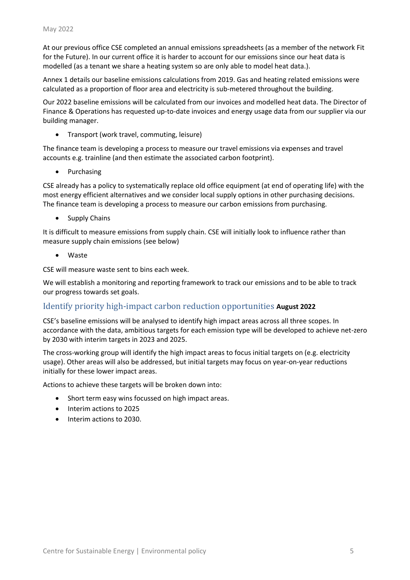At our previous office CSE completed an annual emissions spreadsheets (as a member of the network Fit for the Future). In our current office it is harder to account for our emissions since our heat data is modelled (as a tenant we share a heating system so are only able to model heat data.).

Annex 1 details our baseline emissions calculations from 2019. Gas and heating related emissions were calculated as a proportion of floor area and electricity is sub-metered throughout the building.

Our 2022 baseline emissions will be calculated from our invoices and modelled heat data. The Director of Finance & Operations has requested up-to-date invoices and energy usage data from our supplier via our building manager.

• Transport (work travel, commuting, leisure)

The finance team is developing a process to measure our travel emissions via expenses and travel accounts e.g. trainline (and then estimate the associated carbon footprint).

• Purchasing

CSE already has a policy to systematically replace old office equipment (at end of operating life) with the most energy efficient alternatives and we consider local supply options in other purchasing decisions. The finance team is developing a process to measure our carbon emissions from purchasing.

Supply Chains

It is difficult to measure emissions from supply chain. CSE will initially look to influence rather than measure supply chain emissions (see below)

• Waste

CSE will measure waste sent to bins each week.

We will establish a monitoring and reporting framework to track our emissions and to be able to track our progress towards set goals.

## Identify priority high-impact carbon reduction opportunities **August 2022**

CSE's baseline emissions will be analysed to identify high impact areas across all three scopes. In accordance with the data, ambitious targets for each emission type will be developed to achieve net-zero by 2030 with interim targets in 2023 and 2025.

The cross-working group will identify the high impact areas to focus initial targets on (e.g. electricity usage). Other areas will also be addressed, but initial targets may focus on year-on-year reductions initially for these lower impact areas.

Actions to achieve these targets will be broken down into:

- Short term easy wins focussed on high impact areas.
- Interim actions to 2025
- Interim actions to 2030.